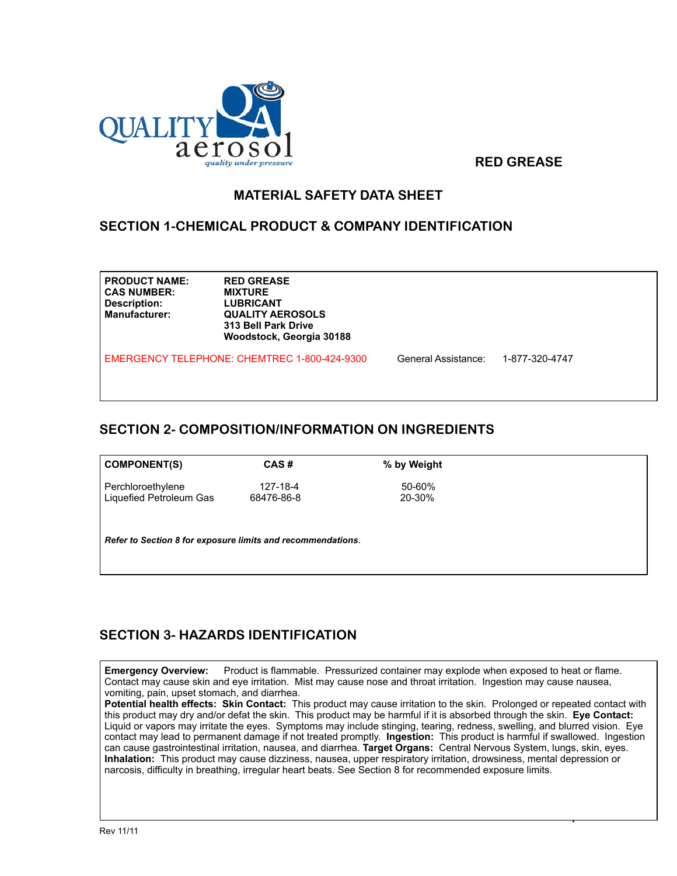

 **RED GREASE**

 $\overline{1}$ 

### **MATERIAL SAFETY DATA SHEET**

### **SECTION 1-CHEMICAL PRODUCT & COMPANY IDENTIFICATION**

| <b>PRODUCT NAME:</b> | <b>RED GREASE</b>  |
|----------------------|--------------------|
| <b>CAS NUMBER:</b>   | <b>MIXTURE</b>     |
| Description:         | <b>LUBRICANT</b>   |
| <b>Manufacturer:</b> | <b>QUALITY AER</b> |
|                      | 313 Bell Park      |
|                      |                    |

**AEROSOLS ark Drive Woodstock, Georgia 30188**

EMERGENCY TELEPHONE: CHEMTREC 1-800-424-9300 General Assistance: 1-877-320-4747

### **SECTION 2- COMPOSITION/INFORMATION ON INGREDIENTS**

| $\vert$ COMPONENT(S)                           | CAS#                   | % by Weight      |  |
|------------------------------------------------|------------------------|------------------|--|
| Perchloroethylene<br>  Liquefied Petroleum Gas | 127-18-4<br>68476-86-8 | 50-60%<br>20-30% |  |

*Refer to Section 8 for exposure limits and recommendations*.

# **SECTION 3- HAZARDS IDENTIFICATION**

**Emergency Overview:** Product is flammable. Pressurized container may explode when exposed to heat or flame. Contact may cause skin and eye irritation. Mist may cause nose and throat irritation. Ingestion may cause nausea, vomiting, pain, upset stomach, and diarrhea.

**Potential health effects: Skin Contact:** This product may cause irritation to the skin. Prolonged or repeated contact with this product may dry and/or defat the skin. This product may be harmful if it is absorbed through the skin. **Eye Contact:**  Liquid or vapors may irritate the eyes. Symptoms may include stinging, tearing, redness, swelling, and blurred vision. Eye contact may lead to permanent damage if not treated promptly. **Ingestion:** This product is harmful if swallowed. Ingestion can cause gastrointestinal irritation, nausea, and diarrhea. **Target Organs:** Central Nervous System, lungs, skin, eyes. **Inhalation:** This product may cause dizziness, nausea, upper respiratory irritation, drowsiness, mental depression or narcosis, difficulty in breathing, irregular heart beats. See Section 8 for recommended exposure limits.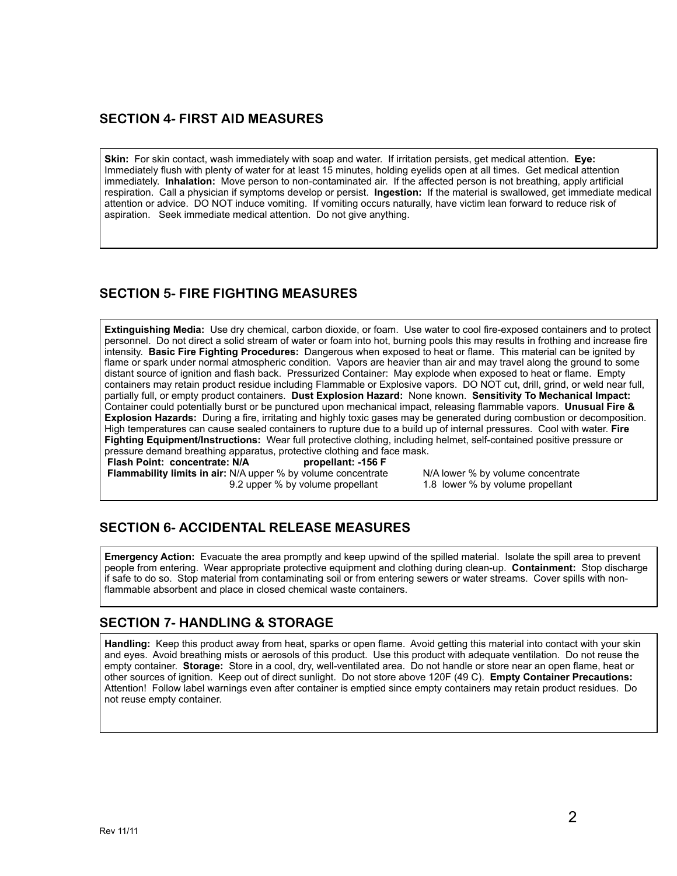#### **SECTION 4- FIRST AID MEASURES**

**Skin:** For skin contact, wash immediately with soap and water. If irritation persists, get medical attention. **Eye:** Immediately flush with plenty of water for at least 15 minutes, holding eyelids open at all times. Get medical attention immediately. **Inhalation:** Move person to non-contaminated air. If the affected person is not breathing, apply artificial respiration. Call a physician if symptoms develop or persist. **Ingestion:** If the material is swallowed, get immediate medical attention or advice. DO NOT induce vomiting. If vomiting occurs naturally, have victim lean forward to reduce risk of aspiration. Seek immediate medical attention. Do not give anything.

### **SECTION 5- FIRE FIGHTING MEASURES**

**Extinguishing Media:** Use dry chemical, carbon dioxide, or foam. Use water to cool fire-exposed containers and to protect personnel. Do not direct a solid stream of water or foam into hot, burning pools this may results in frothing and increase fire intensity. **Basic Fire Fighting Procedures:** Dangerous when exposed to heat or flame. This material can be ignited by flame or spark under normal atmospheric condition. Vapors are heavier than air and may travel along the ground to some distant source of ignition and flash back. Pressurized Container: May explode when exposed to heat or flame. Empty containers may retain product residue including Flammable or Explosive vapors. DO NOT cut, drill, grind, or weld near full, partially full, or empty product containers. **Dust Explosion Hazard:** None known. **Sensitivity To Mechanical Impact:**  Container could potentially burst or be punctured upon mechanical impact, releasing flammable vapors. **Unusual Fire & Explosion Hazards:** During a fire, irritating and highly toxic gases may be generated during combustion or decomposition. High temperatures can cause sealed containers to rupture due to a build up of internal pressures. Cool with water. **Fire Fighting Equipment/Instructions:** Wear full protective clothing, including helmet, self-contained positive pressure or pressure demand breathing apparatus, protective clothing and face mask.<br>Flash Point: concentrate: N/A propellant: -156 F

**Flash Point: concentrate: N/A Flammability limits in air:** N/A upper % by volume concentrate N/A lower % by volume concentrate<br>9.2 upper % by volume propellant 1.8 lower % by volume propellant 9.2 upper % by volume propellant

## **SECTION 6- ACCIDENTAL RELEASE MEASURES**

**Emergency Action:** Evacuate the area promptly and keep upwind of the spilled material. Isolate the spill area to prevent people from entering. Wear appropriate protective equipment and clothing during clean-up. **Containment:** Stop discharge if safe to do so. Stop material from contaminating soil or from entering sewers or water streams. Cover spills with nonflammable absorbent and place in closed chemical waste containers.

#### **SECTION 7- HANDLING & STORAGE**

**Handling:** Keep this product away from heat, sparks or open flame. Avoid getting this material into contact with your skin and eyes. Avoid breathing mists or aerosols of this product. Use this product with adequate ventilation. Do not reuse the empty container. **Storage:** Store in a cool, dry, well-ventilated area. Do not handle or store near an open flame, heat or other sources of ignition. Keep out of direct sunlight. Do not store above 120F (49 C). **Empty Container Precautions:**  Attention! Follow label warnings even after container is emptied since empty containers may retain product residues. Do not reuse empty container.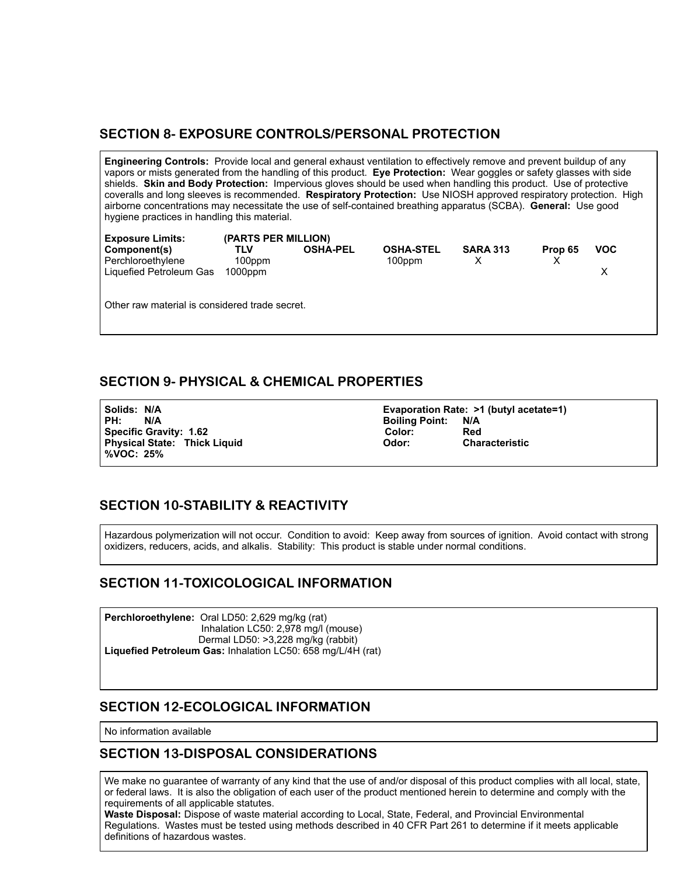#### **SECTION 8- EXPOSURE CONTROLS/PERSONAL PROTECTION**

**Engineering Controls:** Provide local and general exhaust ventilation to effectively remove and prevent buildup of any vapors or mists generated from the handling of this product. **Eye Protection:** Wear goggles or safety glasses with side shields. **Skin and Body Protection:** Impervious gloves should be used when handling this product. Use of protective coveralls and long sleeves is recommended. **Respiratory Protection:** Use NIOSH approved respiratory protection. High airborne concentrations may necessitate the use of self-contained breathing apparatus (SCBA). **General:** Use good hygiene practices in handling this material.

| <b>Exposure Limits:</b>                                      | (PARTS PER MILLION)         |                 |                            |                 |         |            |
|--------------------------------------------------------------|-----------------------------|-----------------|----------------------------|-----------------|---------|------------|
| Component(s)<br>Perchloroethylene<br>Liquefied Petroleum Gas | TLV<br>100ppm<br>$1000$ ppm | <b>OSHA-PEL</b> | <b>OSHA-STEL</b><br>100ppm | <b>SARA 313</b> | Prop 65 | <b>VOC</b> |

Other raw material is considered trade secret.

### **SECTION 9- PHYSICAL & CHEMICAL PROPERTIES**

PH: N/A Boiling Point: N/A **Physical State: Thick Liquid %VOC: 25%** 

**Solids: N/A Evaporation Rate: >1 (butyl acetate=1) Specific Gravity: 1.62 Color: Red**

## **SECTION 10-STABILITY & REACTIVITY**

Hazardous polymerization will not occur. Condition to avoid: Keep away from sources of ignition. Avoid contact with strong oxidizers, reducers, acids, and alkalis. Stability: This product is stable under normal conditions.

## **SECTION 11-TOXICOLOGICAL INFORMATION**

**Perchloroethylene:** Oral LD50: 2,629 mg/kg (rat) Inhalation LC50: 2,978 mg/l (mouse) Dermal LD50: >3,228 mg/kg (rabbit) **Liquefied Petroleum Gas:** Inhalation LC50: 658 mg/L/4H (rat)

#### **SECTION 12-ECOLOGICAL INFORMATION**

No information available

#### **SECTION 13-DISPOSAL CONSIDERATIONS**

We make no guarantee of warranty of any kind that the use of and/or disposal of this product complies with all local, state, or federal laws. It is also the obligation of each user of the product mentioned herein to determine and comply with the requirements of all applicable statutes.

Waste Disposal: Dispose of waste material according to Local, State, Federal, and Provincial Environmental<br>Regulations Mastes must be tested using methods described in 40 CER Part 261 to determine if it mosts and Regulations. Wasted mast be to Regulations. Wastes must be tested using methods described in 40 CFR Part 261 to determine if it meets applicable